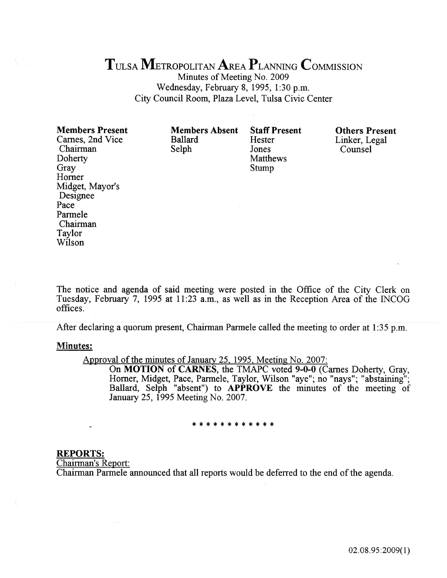# TULSA METROPOLITAN AREA PLANNING COMMISSION

Minutes of Meeting No. 2009 Wednesday, February 8, 1995, 1:30 p.m. City Council Room, Plaza Level, Tulsa Civic Center

| <b>Members Present</b> | <b>Members Absent</b> | <b>Staff Present</b> | <b>Others Present</b> |
|------------------------|-----------------------|----------------------|-----------------------|
| Carnes, 2nd Vice       | <b>Ballard</b>        | Hester               | Linker, Legal         |
| Chairman               | Selph                 | Jones                | Counsel               |
| Doherty                |                       | Matthews             |                       |
| Gray                   |                       | Stump                |                       |
| Horner                 |                       |                      |                       |
| Midget, Mayor's        |                       |                      |                       |
| Designee               |                       |                      |                       |
| Pace                   |                       |                      |                       |
| Parmele                |                       |                      |                       |
| Chairman               |                       |                      |                       |

The notice and agenda of said meeting were posted in the Office of the City Clerk on Tuesday, February 7, 1995 at 11:23 a.m., as well as in the Reception Area of the INCOG offices .

After declaring a quorum present, Chairman Parmele called the meeting to order at 1:35 p.m.

### Minutes:

Taylor Wilson

Approval of the minutes of January 25, 1995, Meeting No. 2007:

On MOTION of CARNES, the TMAPC voted 9-0-0 (Carnes Doherty, Gray, Horner, Midget, Pace, Parmele, Taylor, Wilson "aye"; no "nays"; "abstaining"; Ballard, Selph "absent") to APPROVE the minutes of the meeting of January 25, 1995 Meeting No. 2007.

#### \*\*\*\*\*\*\*\*\*\*\*\*

#### REPORTS:

Chairman's Report:

Chairman Parmele announced that all reports would be deferred to the end of the agenda.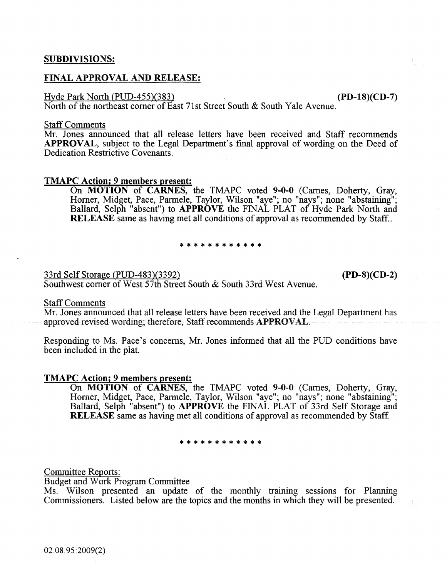# SUBDIVISIONS:

# FINAL APPROVAL AND RELEASE:

#### Hyde Park North (PUD-455)(383) (PD-18)(CD-7)

North of the northeast corner of East 71st Street South & South Yale Avenue.

#### Staff Comments

Mr. Jones announced that all release letters have been received and Staff recommends APPROVAL, subject to the Legal Department's fmal approval of wording on the Deed of Dedication Restrictive Covenants.

# TMAPC Action; 9 members present:

On MOTION of CARNES, the TMAPC voted 9-0-0 (Carnes, Doherty, Gray, Horner, Midget, Pace, Parmele, Taylor, Wilson "aye"; no "nays"; none "abstaining"; Ballard, Selph "absent") to APPROVE the FINAL PLAT of Hyde Park North and RELEASE same as having met all conditions of approval as recommended by Staff..

#### \* \* \* \* \* \* \* \* \* \*

33rd Self Storage (PUD-483)(3392) (PD-S)(CD-2)

Southwest comer of West 57th Street South & South 33rd West Avenue.

# Staff Comments

Mr. Jones announced that all release letters have been received and the Legal Department has approved revised wording; therefore, Staff recommends APPROVAL.

Responding to Ms. Pace's concerns, Mr. Jones informed that ali the PUD conditions have been included in the plat.

#### TMAPC Action; 9 members present:

On **MOTION** of **CARNES**, the TMAPC voted 9-0-0 (Carnes, Doherty, Gray, Horner, Midget, Pace, Parmele, Taylor, Wilson "aye"; no "nays"; none "abstaining"; Ballard, Selph "absent") to APPROVE the FINAL PLAT of 33rd Self Storage and RELEASE same as having met all conditions of approval as recommended by Staff.

#### \*\*\*\*\*\*\*\*\*\*\*\*

Committee Reports:

Budget and Work Program Committee

Ms. Wilson presented an update of the monthly training sessions for Planning Commissioners. Listed below are the topics and the months in which they will be presented.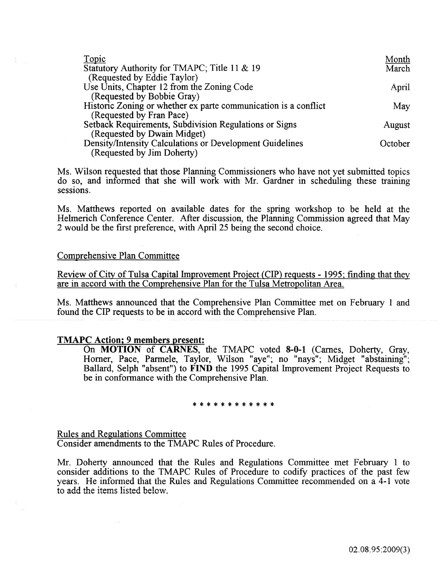| Topic                                                           | Month   |
|-----------------------------------------------------------------|---------|
| Statutory Authority for TMAPC; Title 11 & 19                    | March   |
| (Requested by Eddie Taylor)                                     |         |
| Use Units, Chapter 12 from the Zoning Code                      | April   |
| (Requested by Bobbie Gray)                                      |         |
| Historic Zoning or whether ex parte communication is a conflict | May     |
| (Requested by Fran Pace)                                        |         |
| Setback Requirements, Subdivision Regulations or Signs          | August  |
| (Requested by Dwain Midget)                                     |         |
| Density/Intensity Calculations or Development Guidelines        | October |
| (Requested by Jim Doherty)                                      |         |

Ms. Wilson requested that those Planning Commissioners who have not yet submitted topics do ~o, and informed that she will work with Mr. Gardner in scheduling these training sessions.

Ms. Matthews reported on available dates for the spring workshop to be held at the Helmerich Conference Center. After discussion, the Planning Commission agreed that May 2 would be the frrst preference, with April 25 being the second choice.

# Comprehensive Plan Committee

Review of City of Tulsa Capital Improvement Project {CIP) reguests- 1995; fmding that they are in accord with the Comprehensive Plan for the Tulsa Metropolitan Area.

Ms. Matthews announced that the Comprehensive Plan Committee met on February 1 and found the CIP requests to be in accord with the Comprehensive Plan.

## TMAPC Action; 9 members present:

On **MOTION** of **CARNES**, the TMAPC voted 8-0-1 (Carnes, Doherty, Gray, Horner, Pace, Parmele, Taylor, Wilson "aye"; no "nays"; Midget "abstaining"; Ballard, Selph "absent") to FIND the 1995 Capital Improvement Project Requests to be in conformance with the Comprehensive Plan.

#### \*\*\*\*\*\*\*\*\*\*\*\*

Rules and Regulations Committee Consider amendments to the TMAPC Rules of Procedure.

Mr. Doherty announced that the Rules and Regulations Committee met February 1 to consider additions to the TMAPC Rules of Procedure to codify practices of the past few years. He informed that the Rules and Regulations Committee recommended on a 4-1 vote **to add the items listed belo\•1.**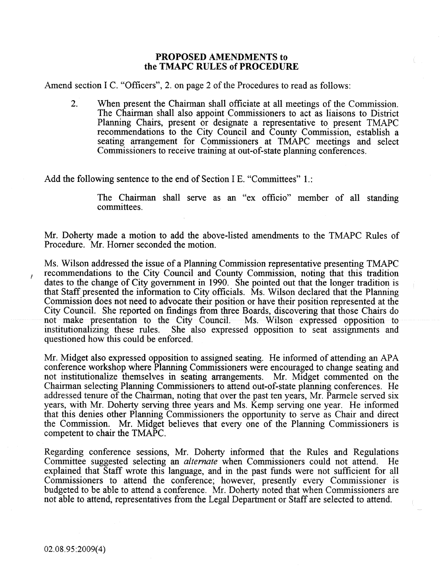# PROPOSED AMENDMENTS to the TMAPC RULES of PROCEDURE

Amend section I C. "Officers", 2. on page 2 of the Procedures to read as follows:

2. When present the Chairman shall officiate at all meetings of the Commission. The Chairman shall also appoint Commissioners to act as liaisons to District Planning Chairs, present or designate a representative to present TMAPC recommendations to the City Council and County Commission, establish a seating arrangement for Commissioners at TMAPC meetings and select Commissioners to receive training at out-of-state planning conferences.

Add the following sentence to the end of Section I E. "Committees" 1.:

The Chairman shall serve as an "ex officio" member of all standing committees.

Mr. Doherty made a motion to add the above-listed amendments to the TMAPC Rules of Procedure. Mr. Homer seconded the motion.

Ms. Wilson addressed the issue of a Planning Commission representative presenting TMAPC recommendations to the City Council and County Commission, noting that this tradition dates to the change of City government in 1990. She pointed out that the longer tradition is that Staff presented the information to City officials. Ms. Wilson declared that the Planning Commission does not need to advocate their position or have their position represented at the City Council. She reported on fmdings from three Boards, discovering that those Chairs do not make presentation to the City Council. Ms. Wilson expressed opposition to institutionalizing these rules. She also expressed opposition to seat assignments and She also expressed opposition to seat assignments and questioned how this could be enforced.

Mr. Midget also expressed opposition to assigned seating. He informed of attending an APA conference workshop where Planning Commissioners were encouraged to change seating and not institutionalize themselves in seating arrangements. Mr. Midget commented on the Chairman selecting Planning Commissioners to attend out-of-state planning conferences. He addressed tenure of the Chairman, noting that over the past ten years, Mr. Parmele served six years, with Mr. Doherty serving three years and Ms. Kemp serving one year. He informed that this denies other Planning Commissioners the opportunity to serve as Chair and direct the Commission. Mr. Midget believes that every one of the Planning Commissioners is competent to chair the TMAPC.

Regarding conference sessions, Mr. Doherty informed that the Rules and Regulations Committee suggested selecting an *alternate* when Commissioners could not attend. He explained that Staff wrote this language, and in the past funds were not sufficient for all Commissioners to attend the conference; however, presently every Commissioner is budgeted to be able to attend a conference. Mr. Doherty noted that when Commissioners are not able to attend, representatives from the Legal Department or Staff are selected to attend.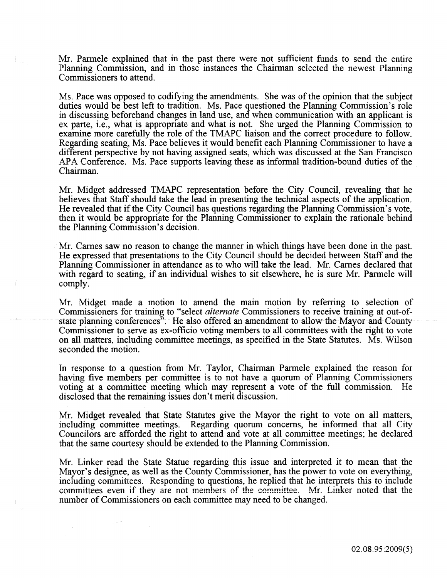Mr. Parmele explained that in the past there were not sufficient funds to send the entire Planning Commission, and in those instances the Chairman selected the newest Planning Commissioners to attend.

Ms. Pace was opposed to codifying the amendments. She was of the opinion that the subject duties would be best left to tradition. Ms. Pace questioned the Planning Commission's role in discussing beforehand changes in land use, and when communication with an applicant is ex parte, i.e., what is appropriate and what is not. She urged the Planning Commission to examine more carefully the role of the TMAPC liaison and the correct procedure to follow. Regarding seating, Ms. Pace believes it would benefit each Planning Commissioner to have a different perspective by not having assigned seats, which was discussed at the San Francisco APA Conference. Ms. Pace supports leaving these as informal tradition-bound duties of the Chairman.

Mr. Midget addressed TMAPC representation before the City Council, revealing that he believes that Staff should take the lead in presenting the technical aspects of the application. He revealed that if the City Council has questions regarding the Planning Commission's vote, then it would be appropriate for the Planning Commissioner to explain the rationale behind the Planning Commission's decision.

Mr. Carnes saw no reason to change the manner in which things have been done in the past. He expressed that presentations to the City Council should be decided between Staff and the Planning Commissioner in attendance as to who will take the lead. Mr. Carnes declared that with regard to seating, if an individual wishes to sit elsewhere, he is sure Mr. Parmele will comply.

Mr. Midget made a motion to amend the main motion by referring to selection of Commissioners for training to "select *alternate* Commissioners to receive training at out-ofstate planning conferences". He also offered an amendment to allow the Mayor and County Commissioner to serve as ex-officio voting members to all committees with the right to vote on all matters, including committee meetings, as specified in the State Statutes. Ms. Wilson seconded the motion.

In response to a question from Mr. Taylor, Chairman Parmele explained the reason for having five members per committee is to not have a quorum of Planning Commissioners voting at a committee meeting which may represent a vote of the full commission. He disclosed that the remaining issues don't merit discussion.

Mr. Midget revealed that State Statutes give the Mayor the right to vote on all matters, including committee meetings. Regarding quorum concerns, he informed that all City Councilors are afforded the right to attend and vote at all committee meetings; he declared that the same courtesy should be extended to the Planning Commission.

Mr. Linker read the State Statue regarding this issue and interpreted it to mean that the Mayor's designee, as well as the County Commissioner, has the power to vote on everything, including committees. Responding to questions, he replied that he interprets this to include committees even if they are not members of the committee. Mr. Linker noted that the number of Commissioners on each committee may need to be changed.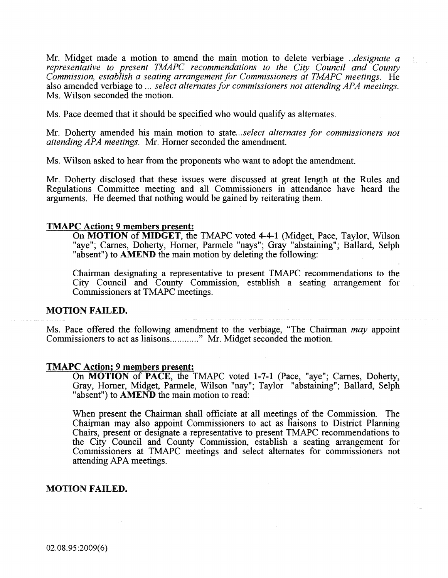Mr. Midget made a motion to amend the main motion to delete verbiage *.. designate a representative to present TMAPC recommendations to the City Council and County Commission, establish a seating arrangement for Commissioners at TMAPC meetings.* He also amended verbiage to ... *select alternates for commissioners not attending APA meetings.* Ms. Wilson seconded the motion.

Ms. Pace deemed that it should be specified who would qualify as alternates.

Mr. Doherty amended his main motion to *state ... select alternates for commissioners not attending APA meetings.* Mr. Homer seconded the amendment.

Ms. Wilson asked to hear from the proponents who want to adopt the amendment.

Mr. Doherty disclosed that these issues were discussed at great length at the Rules and Regulations Committee meeting and all Commissioners in attendance have heard the arguments. He deemed that nothing would be gained by reiterating them.

#### TMAPC Action; 9 members present:

On MOTION of MIDGET, the TMAPC voted 4-4-1 (Midget, Pace, Taylor, Wilson "aye"; Carnes, Doherty, Horner, Parmele "nays"; Gray "abstaining"; Ballard, Selph "absent") to **AMEND** the main motion by deleting the following:

Chairman designating a representative to present TMAPC recommendations to the City Council and County Commission, establish a seating arrangement for Commissioners at TMAPC meetings.

# MOTION FAILED.

Ms. Pace offered the following amendment to the verbiage, "The Chairman *may* appoint Commissioners to act as liaisons............" Mr. Midget seconded the motion.

#### TMAPC Action; 9 members present:

On MOTION of PACE, the TMAPC voted 1-7-1 (Pace, "aye"; Carnes, Doherty, Gray, Homer, Midget, Parmele, Wilson "nay"; Taylor "abstaining"; Ballard, Selph "absent") to AMEND the main motion to read:

When present the Chairman shall officiate at all meetings of the Commission. The Chairman may also appoint Commissioners to act as liaisons to District Planning Chairs, present or designate a representative to present TMAPC recommendations to the City Council and County Commission, establish a seating arrangement for Commissioners at TMAPC meetings and select alternates for commissioners not attending APA meetings.

### MOTION FAILED.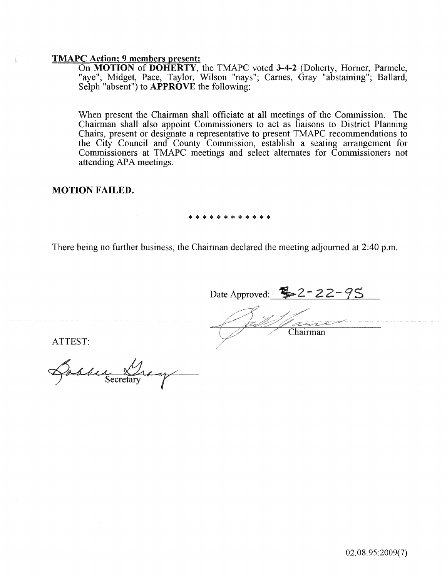# TMAPC Action; 9 members present:

On MOTION of DOHERTY, the TMAPC voted 3-4-2 (Doherty, Homer, Parmele, "aye"; Midget, Pace, Taylor, Wilson "nays"; Carnes, Gray "abstaining"; Ballard, Selph "absent") to **APPROVE** the following:

When present the Chairman shall officiate at all meetings of the Commission. The Chairman shall also appoint Commissioners to act as liaisons to District Planning Chairs, present or designate a representative to present TMAPC recommendations to the City Council and County Commission, establish a seating arrangement for Commissioners at TMAPC meetings and select alternates for Commissioners not attending APA meetings.

# MOTION FAILED.

#### \*\*\*\*\*\*\*\*\*\*\*\*

There being no further business, the Chairman declared the meeting adjourned at 2:40 p.m.

Date Approved:  $2 - 22 - 95$ Chairman

ATTEST:

Barrie &